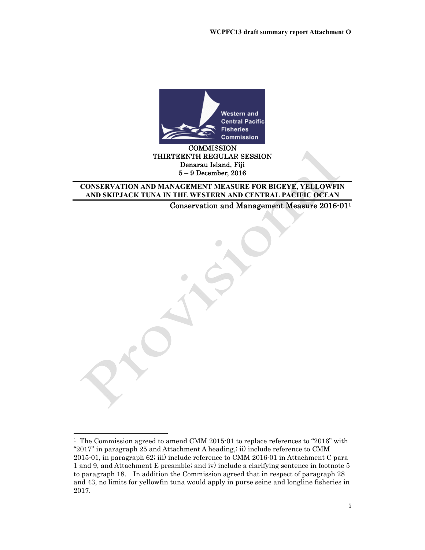

#### **COMMISSION** THIRTEENTH REGULAR SESSION Denarau Island, Fiji 5 – 9 December, 2016

#### **CONSERVATION AND MANAGEMENT MEASURE FOR BIGEYE, YELLOWFIN AND SKIPJACK TUNA IN THE WESTERN AND CENTRAL PACIFIC OCEAN**

Conservation and Management Measure 2016-011

-

<sup>1</sup> The Commission agreed to amend CMM 2015-01 to replace references to "2016" with "2017" in paragraph 25 and Attachment A heading,; ii) include reference to CMM 2015-01, in paragraph 62; iii) include reference to CMM 2016-01 in Attachment C para 1 and 9, and Attachment E preamble; and iv) include a clarifying sentence in footnote 5 to paragraph 18. In addition the Commission agreed that in respect of paragraph 28 and 43, no limits for yellowfin tuna would apply in purse seine and longline fisheries in 2017.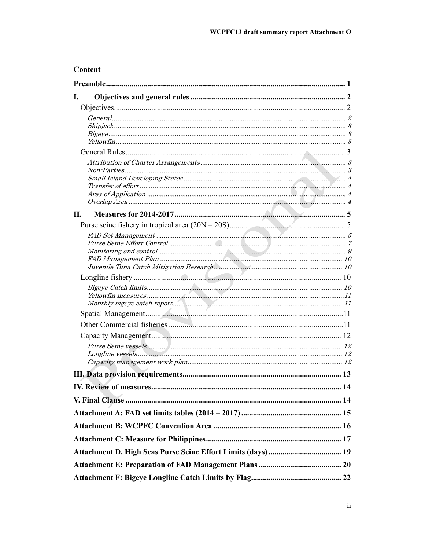## **Content**

| I. |  |
|----|--|
|    |  |
|    |  |
|    |  |
|    |  |
|    |  |
|    |  |
|    |  |
|    |  |
|    |  |
|    |  |
| П. |  |
|    |  |
|    |  |
|    |  |
|    |  |
|    |  |
|    |  |
|    |  |
|    |  |
|    |  |
|    |  |
|    |  |
|    |  |
|    |  |
|    |  |
|    |  |
|    |  |
|    |  |
|    |  |
|    |  |
|    |  |
|    |  |
|    |  |
|    |  |
|    |  |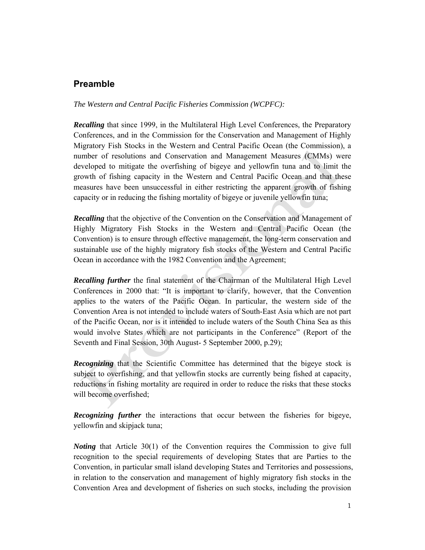## **Preamble**

*The Western and Central Pacific Fisheries Commission (WCPFC):* 

*Recalling* that since 1999, in the Multilateral High Level Conferences, the Preparatory Conferences, and in the Commission for the Conservation and Management of Highly Migratory Fish Stocks in the Western and Central Pacific Ocean (the Commission), a number of resolutions and Conservation and Management Measures (CMMs) were developed to mitigate the overfishing of bigeye and yellowfin tuna and to limit the growth of fishing capacity in the Western and Central Pacific Ocean and that these measures have been unsuccessful in either restricting the apparent growth of fishing capacity or in reducing the fishing mortality of bigeye or juvenile yellowfin tuna;

*Recalling* that the objective of the Convention on the Conservation and Management of Highly Migratory Fish Stocks in the Western and Central Pacific Ocean (the Convention) is to ensure through effective management, the long-term conservation and sustainable use of the highly migratory fish stocks of the Western and Central Pacific Ocean in accordance with the 1982 Convention and the Agreement;

*Recalling further* the final statement of the Chairman of the Multilateral High Level Conferences in 2000 that: "It is important to clarify, however, that the Convention applies to the waters of the Pacific Ocean. In particular, the western side of the Convention Area is not intended to include waters of South-East Asia which are not part of the Pacific Ocean, nor is it intended to include waters of the South China Sea as this would involve States which are not participants in the Conference" (Report of the Seventh and Final Session, 30th August- 5 September 2000, p.29);

*Recognizing* that the Scientific Committee has determined that the bigeye stock is subject to overfishing, and that yellowfin stocks are currently being fished at capacity, reductions in fishing mortality are required in order to reduce the risks that these stocks will become overfished;

*Recognizing further* the interactions that occur between the fisheries for bigeye, yellowfin and skipjack tuna;

*Noting* that Article 30(1) of the Convention requires the Commission to give full recognition to the special requirements of developing States that are Parties to the Convention, in particular small island developing States and Territories and possessions, in relation to the conservation and management of highly migratory fish stocks in the Convention Area and development of fisheries on such stocks, including the provision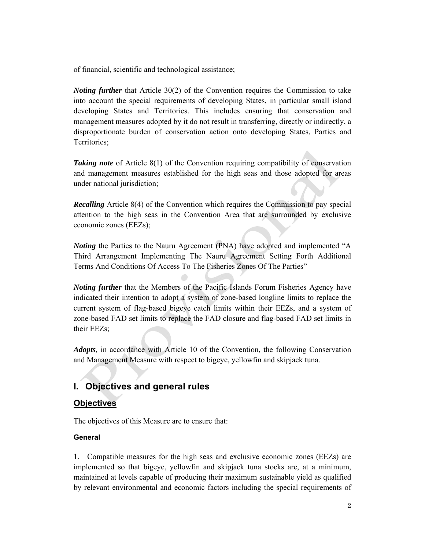of financial, scientific and technological assistance;

*Noting further* that Article 30(2) of the Convention requires the Commission to take into account the special requirements of developing States, in particular small island developing States and Territories. This includes ensuring that conservation and management measures adopted by it do not result in transferring, directly or indirectly, a disproportionate burden of conservation action onto developing States, Parties and Territories;

*Taking note* of Article 8(1) of the Convention requiring compatibility of conservation and management measures established for the high seas and those adopted for areas under national jurisdiction;

*Recalling* Article 8(4) of the Convention which requires the Commission to pay special attention to the high seas in the Convention Area that are surrounded by exclusive economic zones (EEZs);

*Noting* the Parties to the Nauru Agreement (PNA) have adopted and implemented "A Third Arrangement Implementing The Nauru Agreement Setting Forth Additional Terms And Conditions Of Access To The Fisheries Zones Of The Parties"

*Noting further* that the Members of the Pacific Islands Forum Fisheries Agency have indicated their intention to adopt a system of zone-based longline limits to replace the current system of flag-based bigeye catch limits within their EEZs, and a system of zone-based FAD set limits to replace the FAD closure and flag-based FAD set limits in their EEZs;

*Adopts,* in accordance with Article 10 of the Convention, the following Conservation and Management Measure with respect to bigeye, yellowfin and skipjack tuna.

## **I. Objectives and general rules**

## **Objectives**

The objectives of this Measure are to ensure that:

#### **General**

1. Compatible measures for the high seas and exclusive economic zones (EEZs) are implemented so that bigeye, yellowfin and skipjack tuna stocks are, at a minimum, maintained at levels capable of producing their maximum sustainable yield as qualified by relevant environmental and economic factors including the special requirements of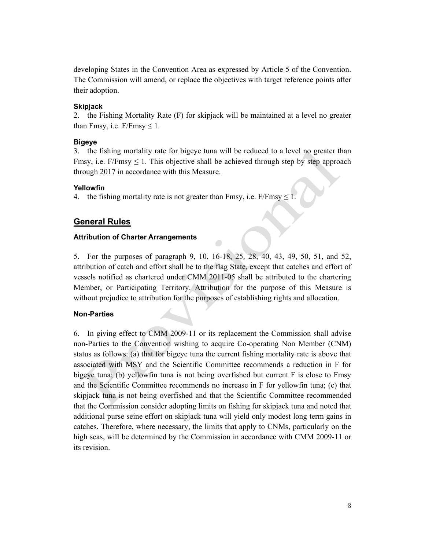developing States in the Convention Area as expressed by Article 5 of the Convention. The Commission will amend, or replace the objectives with target reference points after their adoption.

#### **Skipjack**

2. the Fishing Mortality Rate (F) for skipjack will be maintained at a level no greater than Fmsy, i.e.  $F/Fmsy \leq 1$ .

#### **Bigeye**

3. the fishing mortality rate for bigeye tuna will be reduced to a level no greater than Fmsy, i.e.  $F/Fmsy \leq 1$ . This objective shall be achieved through step by step approach through 2017 in accordance with this Measure.

#### **Yellowfin**

4. the fishing mortality rate is not greater than Fmsy, i.e.  $F/Fmsy \le 1$ .

### **General Rules**

#### **Attribution of Charter Arrangements**

5. For the purposes of paragraph 9, 10, 16-18, 25*,* 28, 40, 43, 49, 50, 51, and 52, attribution of catch and effort shall be to the flag State, except that catches and effort of vessels notified as chartered under CMM 2011-05 shall be attributed to the chartering Member, or Participating Territory. Attribution for the purpose of this Measure is without prejudice to attribution for the purposes of establishing rights and allocation.

#### **Non-Parties**

6. In giving effect to CMM 2009-11 or its replacement the Commission shall advise non-Parties to the Convention wishing to acquire Co-operating Non Member (CNM) status as follows: (a) that for bigeye tuna the current fishing mortality rate is above that associated with MSY and the Scientific Committee recommends a reduction in F for bigeye tuna; (b) yellowfin tuna is not being overfished but current F is close to Fmsy and the Scientific Committee recommends no increase in F for yellowfin tuna; (c) that skipjack tuna is not being overfished and that the Scientific Committee recommended that the Commission consider adopting limits on fishing for skipjack tuna and noted that additional purse seine effort on skipjack tuna will yield only modest long term gains in catches. Therefore, where necessary, the limits that apply to CNMs, particularly on the high seas, will be determined by the Commission in accordance with CMM 2009-11 or its revision.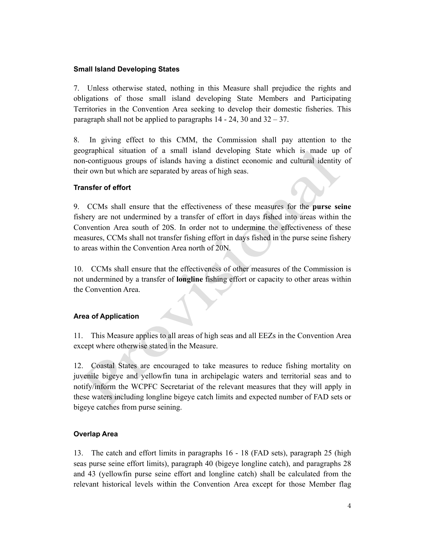#### **Small Island Developing States**

7. Unless otherwise stated, nothing in this Measure shall prejudice the rights and obligations of those small island developing State Members and Participating Territories in the Convention Area seeking to develop their domestic fisheries. This paragraph shall not be applied to paragraphs  $14 - 24$ ,  $30$  and  $32 - 37$ .

8. In giving effect to this CMM, the Commission shall pay attention to the geographical situation of a small island developing State which is made up of non-contiguous groups of islands having a distinct economic and cultural identity of their own but which are separated by areas of high seas.

#### **Transfer of effort**

9. CCMs shall ensure that the effectiveness of these measures for the **purse seine** fishery are not undermined by a transfer of effort in days fished into areas within the Convention Area south of 20S. In order not to undermine the effectiveness of these measures, CCMs shall not transfer fishing effort in days fished in the purse seine fishery to areas within the Convention Area north of 20N.

10. CCMs shall ensure that the effectiveness of other measures of the Commission is not undermined by a transfer of **longline** fishing effort or capacity to other areas within the Convention Area.

#### **Area of Application**

11. This Measure applies to all areas of high seas and all EEZs in the Convention Area except where otherwise stated in the Measure.

12. Coastal States are encouraged to take measures to reduce fishing mortality on juvenile bigeye and yellowfin tuna in archipelagic waters and territorial seas and to notify/inform the WCPFC Secretariat of the relevant measures that they will apply in these waters including longline bigeye catch limits and expected number of FAD sets or bigeye catches from purse seining.

#### **Overlap Area**

13. The catch and effort limits in paragraphs 16 - 18 (FAD sets), paragraph 25 (high seas purse seine effort limits), paragraph 40 (bigeye longline catch), and paragraphs 28 and 43 (yellowfin purse seine effort and longline catch) shall be calculated from the relevant historical levels within the Convention Area except for those Member flag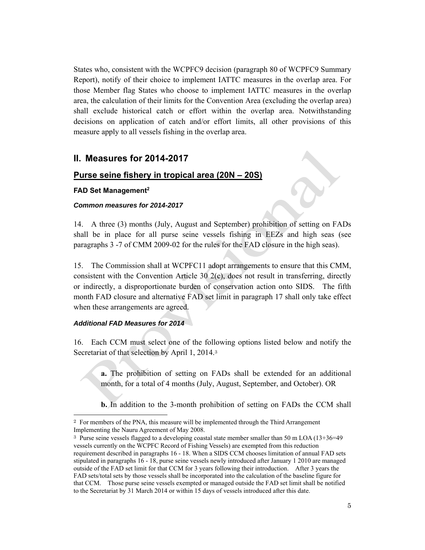States who, consistent with the WCPFC9 decision (paragraph 80 of WCPFC9 Summary Report), notify of their choice to implement IATTC measures in the overlap area. For those Member flag States who choose to implement IATTC measures in the overlap area, the calculation of their limits for the Convention Area (excluding the overlap area) shall exclude historical catch or effort within the overlap area. Notwithstanding decisions on application of catch and/or effort limits, all other provisions of this measure apply to all vessels fishing in the overlap area.

## **II. Measures for 2014-2017**

#### **Purse seine fishery in tropical area (20N – 20S)**

#### **FAD Set Management2**

#### *Common measures for 2014-2017*

14. A three (3) months (July, August and September) prohibition of setting on FADs shall be in place for all purse seine vessels fishing in EEZs and high seas (see paragraphs 3 -7 of CMM 2009-02 for the rules for the FAD closure in the high seas).

15. The Commission shall at WCPFC11 adopt arrangements to ensure that this CMM, consistent with the Convention Article 30 2(c), does not result in transferring, directly or indirectly, a disproportionate burden of conservation action onto SIDS. The fifth month FAD closure and alternative FAD set limit in paragraph 17 shall only take effect when these arrangements are agreed.

#### *Additional FAD Measures for 2014*

 $\overline{a}$ 

16. Each CCM must select one of the following options listed below and notify the Secretariat of that selection by April 1, 2014.<sup>3</sup>

**a.** The prohibition of setting on FADs shall be extended for an additional month, for a total of 4 months (July, August, September, and October). OR

**b.** In addition to the 3-month prohibition of setting on FADs the CCM shall

<sup>2</sup> For members of the PNA, this measure will be implemented through the Third Arrangement Implementing the Nauru Agreement of May 2008.

<sup>3</sup> Purse seine vessels flagged to a developing coastal state member smaller than 50 m LOA (13+36=49 vessels currently on the WCPFC Record of Fishing Vessels) are exempted from this reduction requirement described in paragraphs 16 - 18. When a SIDS CCM chooses limitation of annual FAD sets stipulated in paragraphs 16 - 18, purse seine vessels newly introduced after January 1 2010 are managed outside of the FAD set limit for that CCM for 3 years following their introduction. After 3 years the FAD sets/total sets by those vessels shall be incorporated into the calculation of the baseline figure for that CCM. Those purse seine vessels exempted or managed outside the FAD set limit shall be notified to the Secretariat by 31 March 2014 or within 15 days of vessels introduced after this date.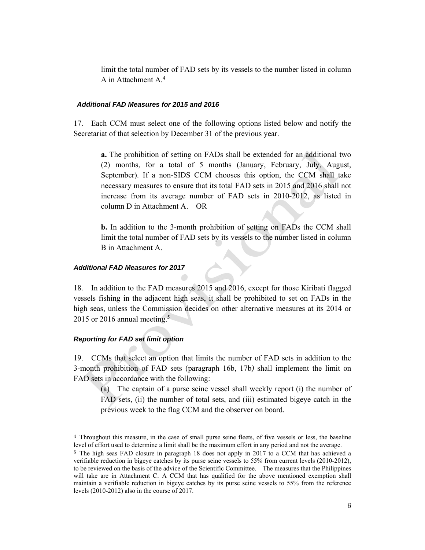limit the total number of FAD sets by its vessels to the number listed in column A in Attachment A.<sup>4</sup>

#### *Additional FAD Measures for 2015 and 2016*

17. Each CCM must select one of the following options listed below and notify the Secretariat of that selection by December 31 of the previous year.

**a.** The prohibition of setting on FADs shall be extended for an additional two (2) months, for a total of 5 months (January, February, July, August, September). If a non-SIDS CCM chooses this option, the CCM shall take necessary measures to ensure that its total FAD sets in 2015 and 2016 shall not increase from its average number of FAD sets in 2010-2012, as listed in column D in Attachment A. OR

**b.** In addition to the 3-month prohibition of setting on FADs the CCM shall limit the total number of FAD sets by its vessels to the number listed in column B in Attachment A.

#### *Additional FAD Measures for 2017*

18*.* In addition to the FAD measures 2015 and 2016, except for those Kiribati flagged vessels fishing in the adjacent high seas, it shall be prohibited to set on FADs in the high seas, unless the Commission decides on other alternative measures at its 2014 or 2015 or 2016 annual meeting.<sup>5</sup>

#### *Reporting for FAD set limit option*

l

19. CCMs that select an option that limits the number of FAD sets in addition to the 3-month prohibition of FAD sets (paragraph 16b, 17b*)* shall implement the limit on FAD sets in accordance with the following:

(a) The captain of a purse seine vessel shall weekly report (i) the number of FAD sets, (ii) the number of total sets, and (iii) estimated bigeye catch in the previous week to the flag CCM and the observer on board.

<sup>4</sup> Throughout this measure, in the case of small purse seine fleets, of five vessels or less, the baseline level of effort used to determine a limit shall be the maximum effort in any period and not the average. 5 The high seas FAD closure in paragraph 18 does not apply in 2017 to a CCM that has achieved a

verifiable reduction in bigeye catches by its purse seine vessels to 55% from current levels (2010-2012), to be reviewed on the basis of the advice of the Scientific Committee. The measures that the Philippines will take are in Attachment C. A CCM that has qualified for the above mentioned exemption shall maintain a verifiable reduction in bigeye catches by its purse seine vessels to 55% from the reference levels (2010-2012) also in the course of 2017.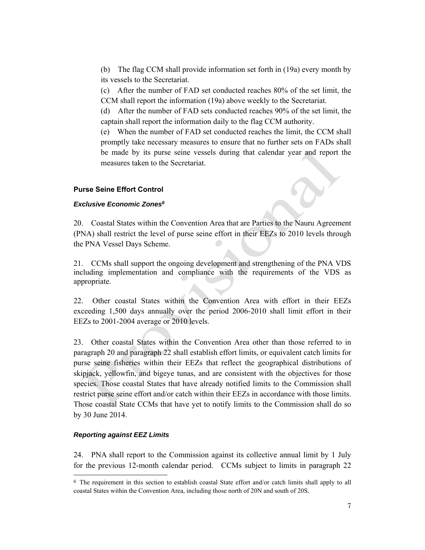(b) The flag CCM shall provide information set forth in (19a) every month by its vessels to the Secretariat.

(c) After the number of FAD set conducted reaches 80% of the set limit, the CCM shall report the information (19a) above weekly to the Secretariat.

(d) After the number of FAD sets conducted reaches 90% of the set limit, the captain shall report the information daily to the flag CCM authority.

(e) When the number of FAD set conducted reaches the limit, the CCM shall promptly take necessary measures to ensure that no further sets on FADs shall be made by its purse seine vessels during that calendar year and report the measures taken to the Secretariat.

#### **Purse Seine Effort Control**

#### *Exclusive Economic Zones6*

20. Coastal States within the Convention Area that are Parties to the Nauru Agreement (PNA) shall restrict the level of purse seine effort in their EEZs to 2010 levels through the PNA Vessel Days Scheme.

21. CCMs shall support the ongoing development and strengthening of the PNA VDS including implementation and compliance with the requirements of the VDS as appropriate.

22. Other coastal States within the Convention Area with effort in their EEZs exceeding 1,500 days annually over the period 2006-2010 shall limit effort in their EEZs to 2001-2004 average or 2010 levels.

23. Other coastal States within the Convention Area other than those referred to in paragraph 20 and paragraph 22 shall establish effort limits, or equivalent catch limits for purse seine fisheries within their EEZs that reflect the geographical distributions of skipjack, yellowfin, and bigeye tunas, and are consistent with the objectives for those species. Those coastal States that have already notified limits to the Commission shall restrict purse seine effort and/or catch within their EEZs in accordance with those limits. Those coastal State CCMs that have yet to notify limits to the Commission shall do so by 30 June 2014.

#### *Reporting against EEZ Limits*

l

24. PNA shall report to the Commission against its collective annual limit by 1 July for the previous 12-month calendar period. CCMs subject to limits in paragraph 22

<sup>6</sup> The requirement in this section to establish coastal State effort and/or catch limits shall apply to all coastal States within the Convention Area, including those north of 20N and south of 20S.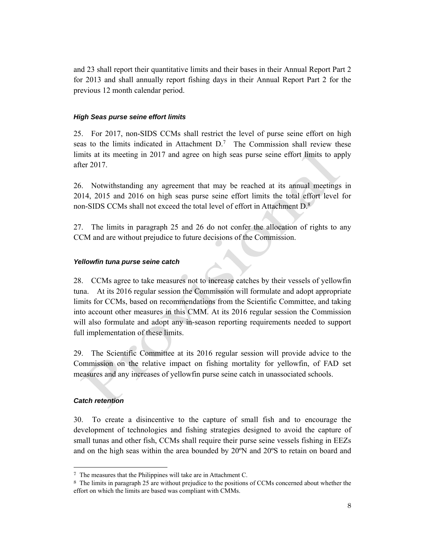and 23 shall report their quantitative limits and their bases in their Annual Report Part 2 for 2013 and shall annually report fishing days in their Annual Report Part 2 for the previous 12 month calendar period.

#### *High Seas purse seine effort limits*

25. For 2017, non-SIDS CCMs shall restrict the level of purse seine effort on high seas to the limits indicated in Attachment  $D<sup>7</sup>$  The Commission shall review these limits at its meeting in 2017 and agree on high seas purse seine effort limits to apply after 2017.

26. Notwithstanding any agreement that may be reached at its annual meetings in 2014, 2015 and 2016 on high seas purse seine effort limits the total effort level for non-SIDS CCMs shall not exceed the total level of effort in Attachment D.8

27. The limits in paragraph 25 and 26 do not confer the allocation of rights to any CCM and are without prejudice to future decisions of the Commission.

#### *Yellowfin tuna purse seine catch*

28. CCMs agree to take measures not to increase catches by their vessels of yellowfin tuna. At its 2016 regular session the Commission will formulate and adopt appropriate limits for CCMs, based on recommendations from the Scientific Committee, and taking into account other measures in this CMM. At its 2016 regular session the Commission will also formulate and adopt any in-season reporting requirements needed to support full implementation of these limits.

29. The Scientific Committee at its 2016 regular session will provide advice to the Commission on the relative impact on fishing mortality for yellowfin, of FAD set measures and any increases of yellowfin purse seine catch in unassociated schools.

#### *Catch retention*

 $\overline{a}$ 

30. To create a disincentive to the capture of small fish and to encourage the development of technologies and fishing strategies designed to avoid the capture of small tunas and other fish, CCMs shall require their purse seine vessels fishing in EEZs and on the high seas within the area bounded by 20ºN and 20ºS to retain on board and

<sup>7</sup> The measures that the Philippines will take are in Attachment C.

<sup>8</sup> The limits in paragraph 25 are without prejudice to the positions of CCMs concerned about whether the effort on which the limits are based was compliant with CMMs.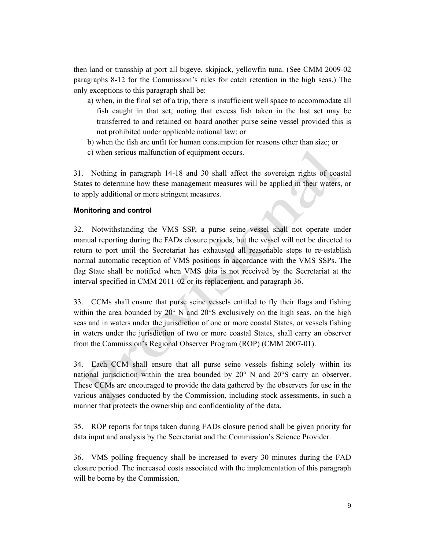then land or transship at port all bigeye, skipjack, yellowfin tuna. (See CMM 2009-02 paragraphs 8-12 for the Commission's rules for catch retention in the high seas.) The only exceptions to this paragraph shall be:

- a) when, in the final set of a trip, there is insufficient well space to accommodate all fish caught in that set, noting that excess fish taken in the last set may be transferred to and retained on board another purse seine vessel provided this is not prohibited under applicable national law; or
- b) when the fish are unfit for human consumption for reasons other than size; or
- c) when serious malfunction of equipment occurs.

31. Nothing in paragraph 14-18 and 30 shall affect the sovereign rights of coastal States to determine how these management measures will be applied in their waters, or to apply additional or more stringent measures.

#### **Monitoring and control**

32. Notwithstanding the VMS SSP, a purse seine vessel shall not operate under manual reporting during the FADs closure periods, but the vessel will not be directed to return to port until the Secretariat has exhausted all reasonable steps to re-establish normal automatic reception of VMS positions in accordance with the VMS SSPs. The flag State shall be notified when VMS data is not received by the Secretariat at the interval specified in CMM 2011-02 or its replacement, and paragraph 36.

33. CCMs shall ensure that purse seine vessels entitled to fly their flags and fishing within the area bounded by 20° N and 20°S exclusively on the high seas, on the high seas and in waters under the jurisdiction of one or more coastal States, or vessels fishing in waters under the jurisdiction of two or more coastal States, shall carry an observer from the Commission's Regional Observer Program (ROP) (CMM 2007-01).

34. Each CCM shall ensure that all purse seine vessels fishing solely within its national jurisdiction within the area bounded by 20° N and 20°S carry an observer. These CCMs are encouraged to provide the data gathered by the observers for use in the various analyses conducted by the Commission, including stock assessments, in such a manner that protects the ownership and confidentiality of the data.

35. ROP reports for trips taken during FADs closure period shall be given priority for data input and analysis by the Secretariat and the Commission's Science Provider.

36. VMS polling frequency shall be increased to every 30 minutes during the FAD closure period. The increased costs associated with the implementation of this paragraph will be borne by the Commission.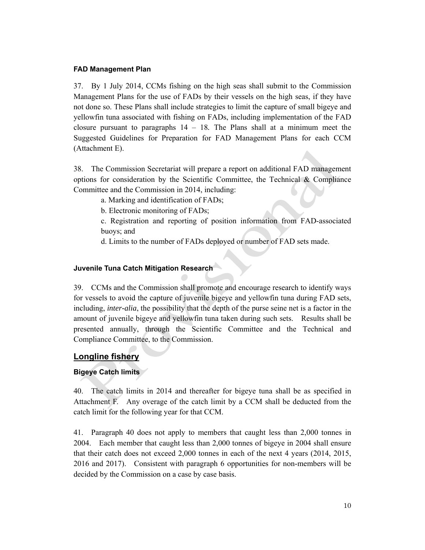#### **FAD Management Plan**

37. By 1 July 2014, CCMs fishing on the high seas shall submit to the Commission Management Plans for the use of FADs by their vessels on the high seas, if they have not done so. These Plans shall include strategies to limit the capture of small bigeye and yellowfin tuna associated with fishing on FADs, including implementation of the FAD closure pursuant to paragraphs 14 – 18*.* The Plans shall at a minimum meet the Suggested Guidelines for Preparation for FAD Management Plans for each CCM (Attachment E).

38. The Commission Secretariat will prepare a report on additional FAD management options for consideration by the Scientific Committee, the Technical & Compliance Committee and the Commission in 2014, including:

a. Marking and identification of FADs;

b. Electronic monitoring of FADs;

c. Registration and reporting of position information from FAD-associated buoys; and

d. Limits to the number of FADs deployed or number of FAD sets made.

## **Juvenile Tuna Catch Mitigation Research**

39. CCMs and the Commission shall promote and encourage research to identify ways for vessels to avoid the capture of juvenile bigeye and yellowfin tuna during FAD sets, including, *inter-alia*, the possibility that the depth of the purse seine net is a factor in the amount of juvenile bigeye and yellowfin tuna taken during such sets. Results shall be presented annually, through the Scientific Committee and the Technical and Compliance Committee, to the Commission.

## **Longline fishery**

## **Bigeye Catch limits**

40. The catch limits in 2014 and thereafter for bigeye tuna shall be as specified in Attachment F. Any overage of the catch limit by a CCM shall be deducted from the catch limit for the following year for that CCM.

41. Paragraph 40 does not apply to members that caught less than 2,000 tonnes in 2004. Each member that caught less than 2,000 tonnes of bigeye in 2004 shall ensure that their catch does not exceed 2,000 tonnes in each of the next 4 years (2014, 2015, 2016 and 2017). Consistent with paragraph 6 opportunities for non-members will be decided by the Commission on a case by case basis.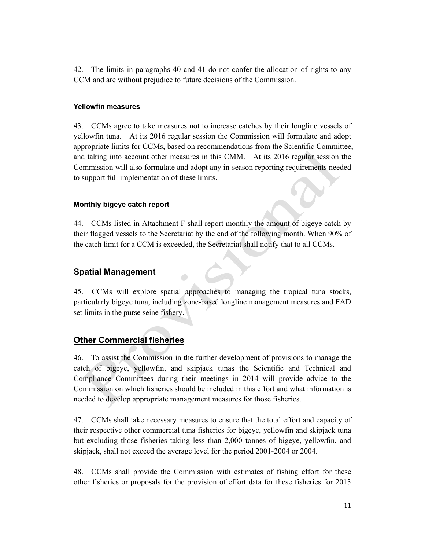42. The limits in paragraphs 40 and 41 do not confer the allocation of rights to any CCM and are without prejudice to future decisions of the Commission.

#### **Yellowfin measures**

43. CCMs agree to take measures not to increase catches by their longline vessels of yellowfin tuna. At its 2016 regular session the Commission will formulate and adopt appropriate limits for CCMs, based on recommendations from the Scientific Committee, and taking into account other measures in this CMM. At its 2016 regular session the Commission will also formulate and adopt any in-season reporting requirements needed to support full implementation of these limits.

#### **Monthly bigeye catch report**

44. CCMs listed in Attachment F shall report monthly the amount of bigeye catch by their flagged vessels to the Secretariat by the end of the following month. When 90% of the catch limit for a CCM is exceeded, the Secretariat shall notify that to all CCMs.

## **Spatial Management**

45. CCMs will explore spatial approaches to managing the tropical tuna stocks, particularly bigeye tuna, including zone-based longline management measures and FAD set limits in the purse seine fishery.

## **Other Commercial fisheries**

46. To assist the Commission in the further development of provisions to manage the catch of bigeye, yellowfin, and skipjack tunas the Scientific and Technical and Compliance Committees during their meetings in 2014 will provide advice to the Commission on which fisheries should be included in this effort and what information is needed to develop appropriate management measures for those fisheries.

47. CCMs shall take necessary measures to ensure that the total effort and capacity of their respective other commercial tuna fisheries for bigeye, yellowfin and skipjack tuna but excluding those fisheries taking less than 2,000 tonnes of bigeye, yellowfin, and skipjack, shall not exceed the average level for the period 2001-2004 or 2004.

48. CCMs shall provide the Commission with estimates of fishing effort for these other fisheries or proposals for the provision of effort data for these fisheries for 2013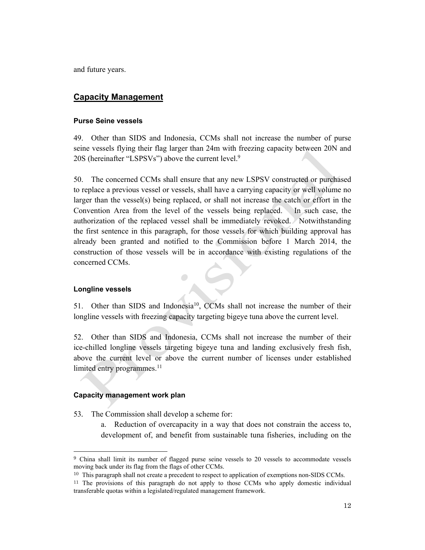and future years.

## **Capacity Management**

#### **Purse Seine vessels**

49. Other than SIDS and Indonesia, CCMs shall not increase the number of purse seine vessels flying their flag larger than 24m with freezing capacity between 20N and 20S (hereinafter "LSPSVs") above the current level.<sup>9</sup>

50. The concerned CCMs shall ensure that any new LSPSV constructed or purchased to replace a previous vessel or vessels, shall have a carrying capacity or well volume no larger than the vessel(s) being replaced, or shall not increase the catch or effort in the Convention Area from the level of the vessels being replaced. In such case, the authorization of the replaced vessel shall be immediately revoked. Notwithstanding the first sentence in this paragraph, for those vessels for which building approval has already been granted and notified to the Commission before 1 March 2014, the construction of those vessels will be in accordance with existing regulations of the concerned CCMs.

#### **Longline vessels**

 $\overline{a}$ 

51. Other than SIDS and Indonesia<sup>10</sup>, CCMs shall not increase the number of their longline vessels with freezing capacity targeting bigeye tuna above the current level.

 $\bullet$ 

52. Other than SIDS and Indonesia, CCMs shall not increase the number of their ice-chilled longline vessels targeting bigeye tuna and landing exclusively fresh fish, above the current level or above the current number of licenses under established limited entry programmes.<sup>11</sup>

#### **Capacity management work plan**

- 53*.* The Commission shall develop a scheme for:
	- a. Reduction of overcapacity in a way that does not constrain the access to, development of, and benefit from sustainable tuna fisheries, including on the

<sup>9</sup> China shall limit its number of flagged purse seine vessels to 20 vessels to accommodate vessels

<sup>&</sup>lt;sup>10</sup> This paragraph shall not create a precedent to respect to application of exemptions non-SIDS CCMs.

<sup>11</sup> The provisions of this paragraph do not apply to those CCMs who apply domestic individual transferable quotas within a legislated/regulated management framework.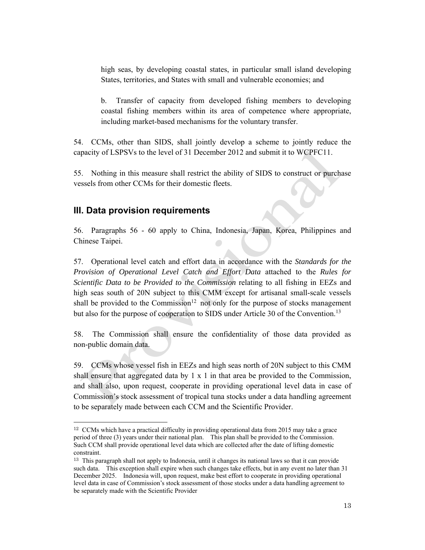high seas, by developing coastal states, in particular small island developing States, territories, and States with small and vulnerable economies; and

b. Transfer of capacity from developed fishing members to developing coastal fishing members within its area of competence where appropriate, including market-based mechanisms for the voluntary transfer.

54. CCMs, other than SIDS, shall jointly develop a scheme to jointly reduce the capacity of LSPSVs to the level of 31 December 2012 and submit it to WCPFC11.

55. Nothing in this measure shall restrict the ability of SIDS to construct or purchase vessels from other CCMs for their domestic fleets.

## **III. Data provision requirements**

l

56. Paragraphs 56 - 60 apply to China, Indonesia, Japan, Korea, Philippines and Chinese Taipei.

57. Operational level catch and effort data in accordance with the *Standards for the Provision of Operational Level Catch and Effort Data* attached to the *Rules for Scientific Data to be Provided to the Commission* relating to all fishing in EEZs and high seas south of 20N subject to this CMM except for artisanal small-scale vessels shall be provided to the Commission<sup>12</sup> not only for the purpose of stocks management but also for the purpose of cooperation to SIDS under Article 30 of the Convention.<sup>13</sup>

58. The Commission shall ensure the confidentiality of those data provided as non-public domain data.

59. CCMs whose vessel fish in EEZs and high seas north of 20N subject to this CMM shall ensure that aggregated data by  $1 \times 1$  in that area be provided to the Commission, and shall also, upon request, cooperate in providing operational level data in case of Commission's stock assessment of tropical tuna stocks under a data handling agreement to be separately made between each CCM and the Scientific Provider.

<sup>&</sup>lt;sup>12</sup> CCMs which have a practical difficulty in providing operational data from 2015 may take a grace period of three (3) years under their national plan. This plan shall be provided to the Commission. Such CCM shall provide operational level data which are collected after the date of lifting domestic constraint.

<sup>13</sup> This paragraph shall not apply to Indonesia, until it changes its national laws so that it can provide such data. This exception shall expire when such changes take effects, but in any event no later than 31 December 2025. Indonesia will, upon request, make best effort to cooperate in providing operational level data in case of Commission's stock assessment of those stocks under a data handling agreement to be separately made with the Scientific Provider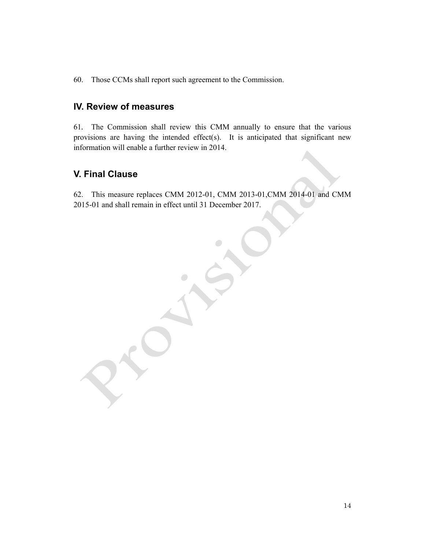60. Those CCMs shall report such agreement to the Commission.

### **IV. Review of measures**

61*.* The Commission shall review this CMM annually to ensure that the various provisions are having the intended effect(s). It is anticipated that significant new information will enable a further review in 2014.

## **V. Final Clause**

62. This measure replaces CMM 2012-01, CMM 2013-01,CMM 2014-01 and CMM 2015-01 and shall remain in effect until 31 December 2017.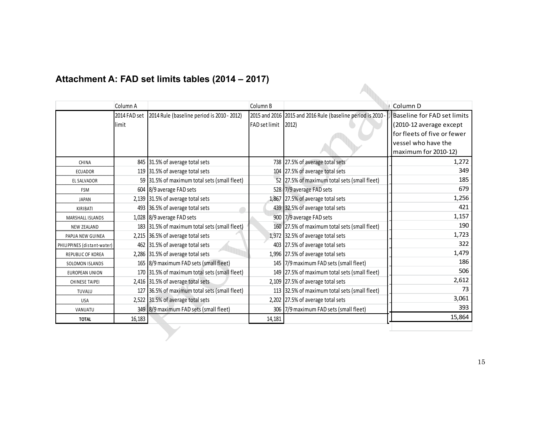|                             | Column A     |                                               | Column B             |                                                             | Column D                           |
|-----------------------------|--------------|-----------------------------------------------|----------------------|-------------------------------------------------------------|------------------------------------|
|                             | 2014 FAD set | 2014 Rule (baseline period is 2010 - 2012)    |                      | 2015 and 2016 2015 and 2016 Rule (baseline period is 2010 - | <b>Baseline for FAD set limits</b> |
|                             | limit        |                                               | <b>FAD</b> set limit | $ 2012\rangle$                                              | (2010-12 average except            |
|                             |              |                                               |                      |                                                             | for fleets of five or fewer        |
|                             |              |                                               |                      |                                                             | vessel who have the                |
|                             |              |                                               |                      |                                                             | maximum for 2010-12)               |
| CHINA                       |              | 845 31.5% of average total sets               |                      | 738 27.5% of average total sets                             | 1,272                              |
| <b>ECUADOR</b>              |              | 119 31.5% of average total sets               |                      | 104 27.5% of average total sets                             | 349                                |
| <b>EL SALVADOR</b>          |              | 59 31.5% of maximum total sets (small fleet)  |                      | 52 27.5% of maximum total sets (small fleet)                | 185                                |
| <b>FSM</b>                  |              | 604 8/9 average FAD sets                      |                      | 528 7/9 average FAD sets                                    | 679                                |
| <b>JAPAN</b>                |              | 2,139 31.5% of average total sets             |                      | 1,867 27.5% of average total sets                           | 1,256                              |
| KIRIBATI                    |              | 493 36.5% of average total sets               |                      | 439 32.5% of average total sets                             | 421                                |
| MARSHALL ISLANDS            |              | 1,028 8/9 average FAD sets                    |                      | 900 7/9 average FAD sets                                    | 1,157                              |
| <b>NEW ZEALAND</b>          |              | 183 31.5% of maximum total sets (small fleet) |                      | 160 27.5% of maximum total sets (small fleet)               | 190                                |
| PAPUA NEW GUINEA            |              | 2,215 36.5% of average total sets             |                      | 1,972 32.5% of average total sets                           | 1,723                              |
| PHILIPPINES (distant-water) |              | 462 31.5% of average total sets               |                      | 403 27.5% of average total sets                             | 322                                |
| <b>REPUBLIC OF KOREA</b>    |              | 2,286 31.5% of average total sets             |                      | 1,996 27.5% of average total sets                           | 1,479                              |
| SOLOMON ISLANDS             |              | 165 8/9 maximum FAD sets (small fleet)        |                      | 145 7/9 maximum FAD sets (small fleet)                      | 186                                |
| EUROPEAN UNION              |              | 170 31.5% of maximum total sets (small fleet) |                      | 149 27.5% of maximum total sets (small fleet)               | 506                                |
| <b>CHINESE TAIPEI</b>       |              | 2,416 31.5% of average total sets             |                      | 2,109 27.5% of average total sets                           | 2,612                              |
| TUVALU                      |              | 127 36.5% of maximum total sets (small fleet) |                      | 113 32.5% of maximum total sets (small fleet)               | 73                                 |
| <b>USA</b>                  |              | 2,522 31.5% of average total sets             |                      | 2,202 27.5% of average total sets                           | 3,061                              |
| VANUATU                     |              | 349 8/9 maximum FAD sets (small fleet)        |                      | 306 7/9 maximum FAD sets (small fleet)                      | 393                                |
| <b>TOTAL</b>                | 16,183       |                                               | 14,181               |                                                             | 15,864                             |
|                             |              |                                               |                      |                                                             |                                    |

# **Attachment A: FAD set limits tables (2014 – 2017)**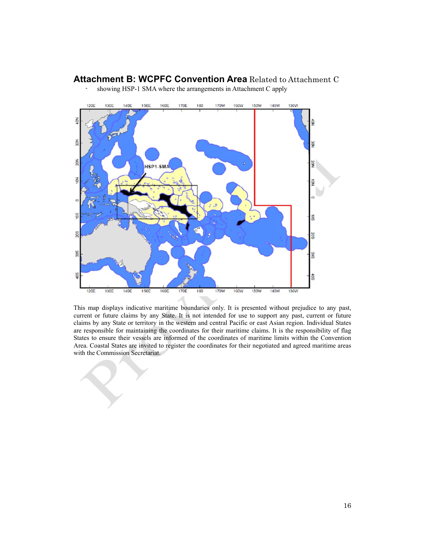## **Attachment B: WCPFC Convention Area** Related to Attachment C



- showing HSP-1 SMA where the arrangements in Attachment C apply

This map displays indicative maritime boundaries only. It is presented without prejudice to any past, current or future claims by any State. It is not intended for use to support any past, current or future claims by any State or territory in the western and central Pacific or east Asian region. Individual States are responsible for maintaining the coordinates for their maritime claims. It is the responsibility of flag States to ensure their vessels are informed of the coordinates of maritime limits within the Convention Area. Coastal States are invited to register the coordinates for their negotiated and agreed maritime areas with the Commission Secretariat.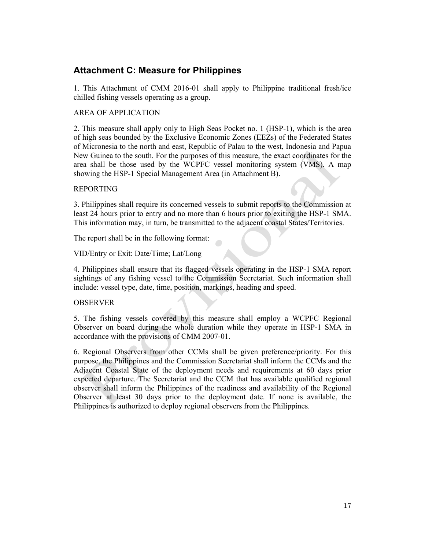## **Attachment C: Measure for Philippines**

1. This Attachment of CMM 2016-01 shall apply to Philippine traditional fresh/ice chilled fishing vessels operating as a group.

#### AREA OF APPLICATION

2. This measure shall apply only to High Seas Pocket no. 1 (HSP-1), which is the area of high seas bounded by the Exclusive Economic Zones (EEZs) of the Federated States of Micronesia to the north and east, Republic of Palau to the west, Indonesia and Papua New Guinea to the south. For the purposes of this measure, the exact coordinates for the area shall be those used by the WCPFC vessel monitoring system (VMS). A map showing the HSP-1 Special Management Area (in Attachment B).

#### REPORTING

3. Philippines shall require its concerned vessels to submit reports to the Commission at least 24 hours prior to entry and no more than 6 hours prior to exiting the HSP-1 SMA. This information may, in turn, be transmitted to the adjacent coastal States/Territories.

The report shall be in the following format:

VID/Entry or Exit: Date/Time; Lat/Long

4. Philippines shall ensure that its flagged vessels operating in the HSP-1 SMA report sightings of any fishing vessel to the Commission Secretariat. Such information shall include: vessel type, date, time, position, markings, heading and speed.

#### **OBSERVER**

5. The fishing vessels covered by this measure shall employ a WCPFC Regional Observer on board during the whole duration while they operate in HSP-1 SMA in accordance with the provisions of CMM 2007-01.

6. Regional Observers from other CCMs shall be given preference/priority. For this purpose, the Philippines and the Commission Secretariat shall inform the CCMs and the Adjacent Coastal State of the deployment needs and requirements at 60 days prior expected departure. The Secretariat and the CCM that has available qualified regional observer shall inform the Philippines of the readiness and availability of the Regional Observer at least 30 days prior to the deployment date. If none is available, the Philippines is authorized to deploy regional observers from the Philippines.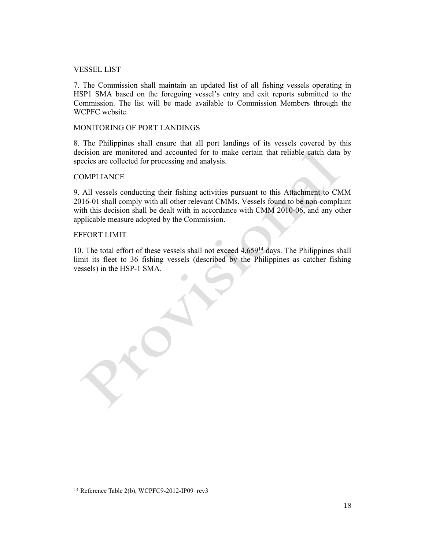#### VESSEL LIST

7. The Commission shall maintain an updated list of all fishing vessels operating in HSP1 SMA based on the foregoing vessel's entry and exit reports submitted to the Commission. The list will be made available to Commission Members through the WCPFC website.

#### MONITORING OF PORT LANDINGS

8. The Philippines shall ensure that all port landings of its vessels covered by this decision are monitored and accounted for to make certain that reliable catch data by species are collected for processing and analysis.

#### **COMPLIANCE**

9. All vessels conducting their fishing activities pursuant to this Attachment to CMM 2016-01 shall comply with all other relevant CMMs. Vessels found to be non-complaint with this decision shall be dealt with in accordance with CMM 2010-06, and any other applicable measure adopted by the Commission.

#### EFFORT LIMIT

10. The total effort of these vessels shall not exceed 4,65914 days. The Philippines shall limit its fleet to 36 fishing vessels (described by the Philippines as catcher fishing vessels) in the HSP-1 SMA.

 $\overline{a}$ 

<sup>14</sup> Reference Table 2(b), WCPFC9-2012-IP09\_rev3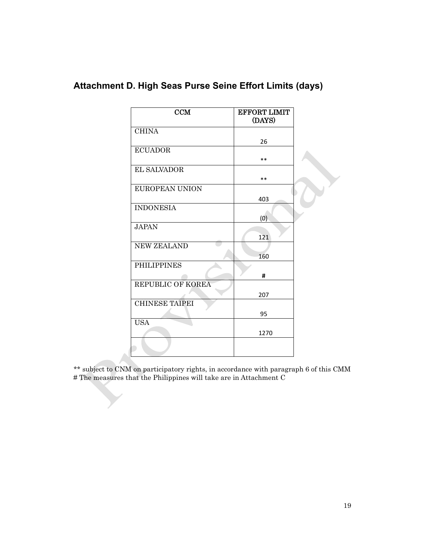| CCM                   | <b>EFFORT LIMIT</b><br>(DAYS) |  |
|-----------------------|-------------------------------|--|
| <b>CHINA</b>          |                               |  |
|                       | 26                            |  |
| <b>ECUADOR</b>        |                               |  |
|                       | $***$                         |  |
| <b>EL SALVADOR</b>    |                               |  |
|                       | $***$                         |  |
| <b>EUROPEAN UNION</b> |                               |  |
|                       | 403                           |  |
| <b>INDONESIA</b>      |                               |  |
|                       | (0)                           |  |
| <b>JAPAN</b>          |                               |  |
|                       | 121                           |  |
| <b>NEW ZEALAND</b>    |                               |  |
|                       | 160                           |  |
| <b>PHILIPPINES</b>    |                               |  |
|                       | #                             |  |
| REPUBLIC OF KOREA     |                               |  |
|                       | 207                           |  |
| <b>CHINESE TAIPEI</b> |                               |  |
|                       | 95                            |  |
| <b>USA</b>            |                               |  |
|                       | 1270                          |  |
|                       |                               |  |
|                       |                               |  |

# **Attachment D. High Seas Purse Seine Effort Limits (days)**

\*\* subject to CNM on participatory rights, in accordance with paragraph 6 of this CMM # The measures that the Philippines will take are in Attachment C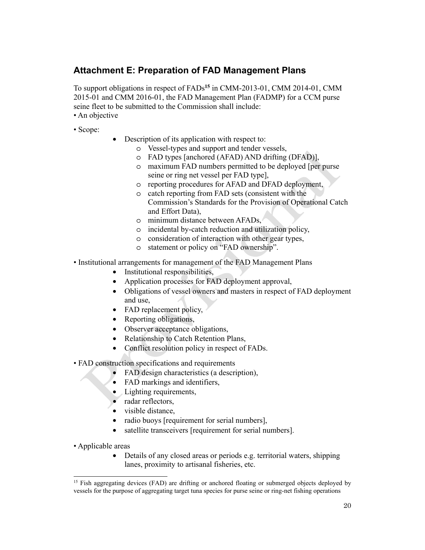## **Attachment E: Preparation of FAD Management Plans**

To support obligations in respect of FADs**<sup>15</sup>** in CMM-2013-01, CMM 2014-01, CMM 2015-01 and CMM 2016-01, the FAD Management Plan (FADMP) for a CCM purse seine fleet to be submitted to the Commission shall include:

- An objective
- Scope:
- Description of its application with respect to:
	- o Vessel-types and support and tender vessels,
	- o FAD types [anchored (AFAD) AND drifting (DFAD)],
	- o maximum FAD numbers permitted to be deployed [per purse seine or ring net vessel per FAD type],
	- o reporting procedures for AFAD and DFAD deployment,
	- o catch reporting from FAD sets (consistent with the Commission's Standards for the Provision of Operational Catch and Effort Data),
	- o minimum distance between AFADs,
	- o incidental by-catch reduction and utilization policy,
	- o consideration of interaction with other gear types,
	- o statement or policy on "FAD ownership".
- Institutional arrangements for management of the FAD Management Plans
	- Institutional responsibilities,
	- Application processes for FAD deployment approval,
	- Obligations of vessel owners and masters in respect of FAD deployment and use,
	- FAD replacement policy,
	- Reporting obligations,
	- Observer acceptance obligations,
	- Relationship to Catch Retention Plans,
	- Conflict resolution policy in respect of FADs.
- FAD construction specifications and requirements
	- FAD design characteristics (a description),
	- FAD markings and identifiers,
	- Lighting requirements,
	- radar reflectors,
	- visible distance,
	- radio buoys [requirement for serial numbers],
	- satellite transceivers [requirement for serial numbers].
- Applicable areas

 $\overline{a}$ 

• Details of any closed areas or periods e.g. territorial waters, shipping lanes, proximity to artisanal fisheries, etc.

<sup>&</sup>lt;sup>15</sup> Fish aggregating devices (FAD) are drifting or anchored floating or submerged objects deployed by vessels for the purpose of aggregating target tuna species for purse seine or ring-net fishing operations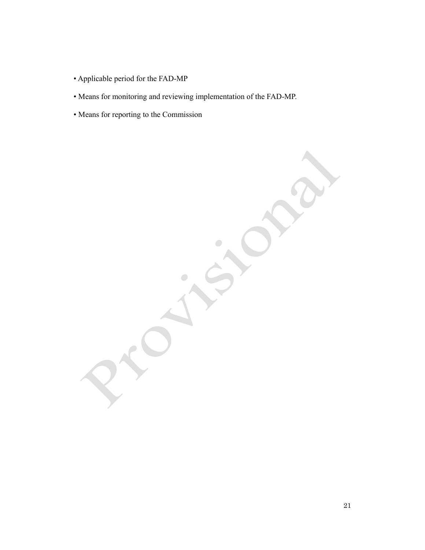- Applicable period for the FAD-MP
- Means for monitoring and reviewing implementation of the FAD-MP.
- Means for reporting to the Commission

 $\bullet$